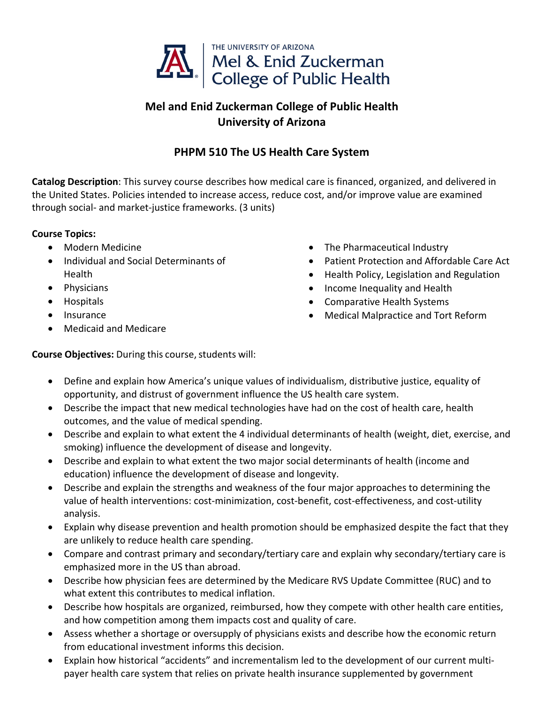

## **Mel and Enid Zuckerman College of Public Health University of Arizona**

## **PHPM 510 The US Health Care System**

**Catalog Description**: This survey course describes how medical care is financed, organized, and delivered in the United States. Policies intended to increase access, reduce cost, and/or improve value are examined through social‐ and market‐justice frameworks. (3 units)

## **Course Topics:**

- Modern Medicine
- Individual and Social Determinants of **Health**
- Physicians
- Hospitals
- **•** Insurance
- Medicaid and Medicare
- The Pharmaceutical Industry
- Patient Protection and Affordable Care Act
- Health Policy, Legislation and Regulation
- Income Inequality and Health
- Comparative Health Systems
- Medical Malpractice and Tort Reform

**Course Objectives:** During this course, students will:

- Define and explain how America's unique values of individualism, distributive justice, equality of opportunity, and distrust of government influence the US health care system.
- Describe the impact that new medical technologies have had on the cost of health care, health outcomes, and the value of medical spending.
- Describe and explain to what extent the 4 individual determinants of health (weight, diet, exercise, and smoking) influence the development of disease and longevity.
- Describe and explain to what extent the two major social determinants of health (income and education) influence the development of disease and longevity.
- Describe and explain the strengths and weakness of the four major approaches to determining the value of health interventions: cost-minimization, cost-benefit, cost-effectiveness, and cost-utility analysis.
- Explain why disease prevention and health promotion should be emphasized despite the fact that they are unlikely to reduce health care spending.
- Compare and contrast primary and secondary/tertiary care and explain why secondary/tertiary care is emphasized more in the US than abroad.
- Describe how physician fees are determined by the Medicare RVS Update Committee (RUC) and to what extent this contributes to medical inflation.
- Describe how hospitals are organized, reimbursed, how they compete with other health care entities, and how competition among them impacts cost and quality of care.
- Assess whether a shortage or oversupply of physicians exists and describe how the economic return from educational investment informs this decision.
- Explain how historical "accidents" and incrementalism led to the development of our current multipayer health care system that relies on private health insurance supplemented by government